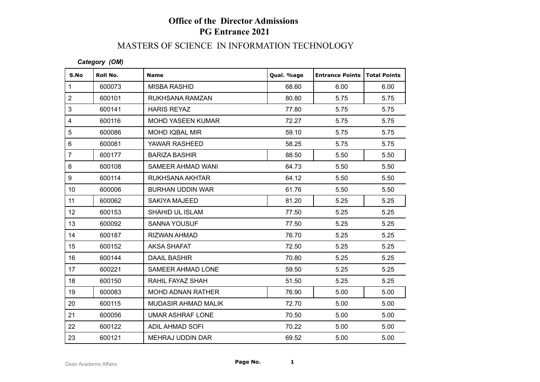## **Office of the Director Admissions PG Entrance 2021**

### MASTERS OF SCIENCE IN INFORMATION TECHNOLOGY

#### *Category (OM)*

| S.No                    | Roll No. | <b>Name</b>              | Qual. %age | <b>Entrance Points   Total Points</b> |      |
|-------------------------|----------|--------------------------|------------|---------------------------------------|------|
| $\mathbf{1}$            | 600073   | <b>MISBA RASHID</b>      | 68.60      | 6.00                                  | 6.00 |
| $\overline{2}$          | 600101   | RUKHSANA RAMZAN          | 80.80      | 5.75                                  | 5.75 |
| 3                       | 600141   | <b>HARIS REYAZ</b>       | 77.80      | 5.75                                  | 5.75 |
| $\overline{\mathbf{4}}$ | 600116   | <b>MOHD YASEEN KUMAR</b> | 72.27      | 5.75                                  | 5.75 |
| 5                       | 600086   | <b>MOHD IQBAL MIR</b>    | 59.10      | 5.75                                  | 5.75 |
| 6                       | 600081   | YAWAR RASHEED            | 58.25      | 5.75                                  | 5.75 |
| $\overline{7}$          | 600177   | <b>BARIZA BASHIR</b>     | 88.50      | 5.50                                  | 5.50 |
| 8                       | 600108   | SAMEER AHMAD WANI        | 64.73      | 5.50                                  | 5.50 |
| 9                       | 600114   | RUKHSANA AKHTAR          | 64.12      | 5.50                                  | 5.50 |
| 10 <sup>1</sup>         | 600006   | <b>BURHAN UDDIN WAR</b>  | 61.76      | 5.50                                  | 5.50 |
| 11                      | 600062   | <b>SAKIYA MAJEED</b>     | 81.20      | 5.25                                  | 5.25 |
| 12 <sup>°</sup>         | 600153   | <b>SHAHID UL ISLAM</b>   | 77.50      | 5.25                                  | 5.25 |
| 13                      | 600092   | <b>SANNA YOUSUF</b>      | 77.50      | 5.25                                  | 5.25 |
| 14                      | 600187   | <b>RIZWAN AHMAD</b>      | 76.70      | 5.25                                  | 5.25 |
| 15 <sub>15</sub>        | 600152   | <b>AKSA SHAFAT</b>       | 72.50      | 5.25                                  | 5.25 |
| 16                      | 600144   | <b>DAAIL BASHIR</b>      | 70.80      | 5.25                                  | 5.25 |
| 17                      | 600221   | SAMEER AHMAD LONE        | 59.50      | 5.25                                  | 5.25 |
| 18                      | 600150   | RAHIL FAYAZ SHAH         | 51.50      | 5.25                                  | 5.25 |
| 19                      | 600083   | <b>MOHD ADNAN RATHER</b> | 76.90      | 5.00                                  | 5.00 |
| 20                      | 600115   | MUDASIR AHMAD MALIK      | 72.70      | 5.00                                  | 5.00 |
| 21                      | 600056   | <b>UMAR ASHRAF LONE</b>  | 70.50      | 5.00                                  | 5.00 |
| 22                      | 600122   | ADIL AHMAD SOFI          | 70.22      | 5.00                                  | 5.00 |
| 23                      | 600121   | MEHRAJ UDDIN DAR         | 69.52      | 5.00                                  | 5.00 |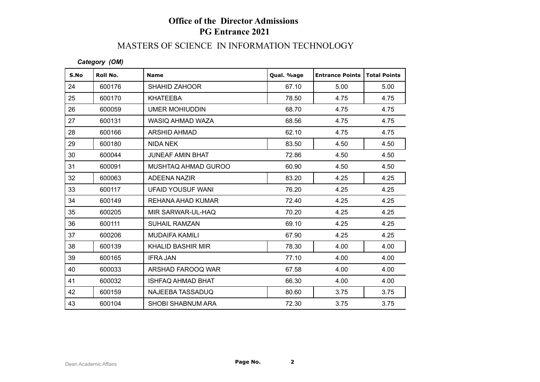# **Office of the Director Admissions PG Entrance 2021**

### MASTERS OF SCIENCE IN INFORMATION TECHNOLOGY

#### *Category (OM)*

| S.No | Roll No. | <b>Name</b>              | Qual. %age | <b>Entrance Points</b> | <b>Total Points</b> |
|------|----------|--------------------------|------------|------------------------|---------------------|
| 24   | 600176   | <b>SHAHID ZAHOOR</b>     | 67.10      | 5.00                   | 5.00                |
| 25   | 600170   | KHATEEBA                 | 78.50      | 4.75                   | 4.75                |
| 26   | 600059   | <b>UMER MOHIUDDIN</b>    | 68.70      | 4.75                   | 4.75                |
| 27   | 600131   | WASIQ AHMAD WAZA         | 68.56      | 4.75                   | 4.75                |
| 28   | 600166   | <b>ARSHID AHMAD</b>      | 62.10      | 4.75                   | 4.75                |
| 29   | 600180   | <b>NIDA NEK</b>          | 83.50      | 4.50                   | 4.50                |
| 30   | 600044   | <b>JUNEAF AMIN BHAT</b>  | 72.86      | 4.50                   | 4.50                |
| 31   | 600091   | MUSHTAQ AHMAD GUROO      | 60.90      | 4.50                   | 4.50                |
| 32   | 600063   | ADEENA NAZIR             | 83.20      | 4.25                   | 4.25                |
| 33   | 600117   | UFAID YOUSUF WANI        | 76.20      | 4.25                   | 4.25                |
| 34   | 600149   | REHANA AHAD KUMAR        | 72.40      | 4.25                   | 4.25                |
| 35   | 600205   | MIR SARWAR-UL-HAQ        | 70.20      | 4.25                   | 4.25                |
| 36   | 600111   | <b>SUHAIL RAMZAN</b>     | 69.10      | 4.25                   | 4.25                |
| 37   | 600206   | <b>MUDAIFA KAMILI</b>    | 67.90      | 4.25                   | 4.25                |
| 38   | 600139   | <b>KHALID BASHIR MIR</b> | 78.30      | 4.00                   | 4.00                |
| 39   | 600165   | <b>IFRA JAN</b>          | 77.10      | 4.00                   | 4.00                |
| 40   | 600033   | ARSHAD FAROOQ WAR        | 67.58      | 4.00                   | 4.00                |
| 41   | 600032   | <b>ISHFAQ AHMAD BHAT</b> | 66.30      | 4.00                   | 4.00                |
| 42   | 600159   | NAJEEBA TASSADUQ         | 80.60      | 3.75                   | 3.75                |
| 43   | 600104   | <b>SHOBI SHABNUM ARA</b> | 72.30      | 3.75                   | 3.75                |